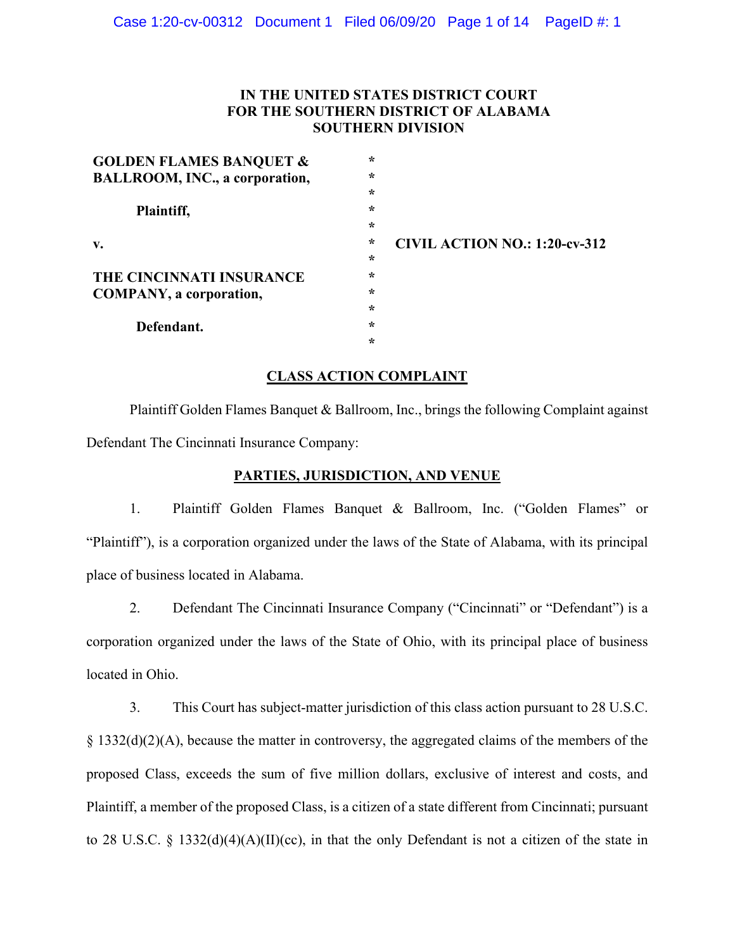# **IN THE UNITED STATES DISTRICT COURT FOR THE SOUTHERN DISTRICT OF ALABAMA SOUTHERN DIVISION**

| <b>GOLDEN FLAMES BANQUET &amp;</b> | $\star$ |                                      |
|------------------------------------|---------|--------------------------------------|
| BALLROOM, INC., a corporation,     | $\star$ |                                      |
|                                    | $\star$ |                                      |
| Plaintiff,                         | $\star$ |                                      |
|                                    | $\star$ |                                      |
| $\mathbf{v}$ .                     | $\star$ | <b>CIVIL ACTION NO.: 1:20-cv-312</b> |
|                                    | $\star$ |                                      |
| THE CINCINNATI INSURANCE           | $\star$ |                                      |
| <b>COMPANY</b> , a corporation,    | $\star$ |                                      |
|                                    | $\star$ |                                      |
| Defendant.                         | $\star$ |                                      |
|                                    | $\star$ |                                      |
|                                    |         |                                      |

## **CLASS ACTION COMPLAINT**

Plaintiff Golden Flames Banquet & Ballroom, Inc., brings the following Complaint against Defendant The Cincinnati Insurance Company:

# **PARTIES, JURISDICTION, AND VENUE**

1. Plaintiff Golden Flames Banquet & Ballroom, Inc. ("Golden Flames" or "Plaintiff"), is a corporation organized under the laws of the State of Alabama, with its principal place of business located in Alabama.

2. Defendant The Cincinnati Insurance Company ("Cincinnati" or "Defendant") is a corporation organized under the laws of the State of Ohio, with its principal place of business located in Ohio.

3. This Court has subject-matter jurisdiction of this class action pursuant to 28 U.S.C. § 1332(d)(2)(A), because the matter in controversy, the aggregated claims of the members of the proposed Class, exceeds the sum of five million dollars, exclusive of interest and costs, and Plaintiff, a member of the proposed Class, is a citizen of a state different from Cincinnati; pursuant to 28 U.S.C. § 1332(d)(4)(A)(II)(cc), in that the only Defendant is not a citizen of the state in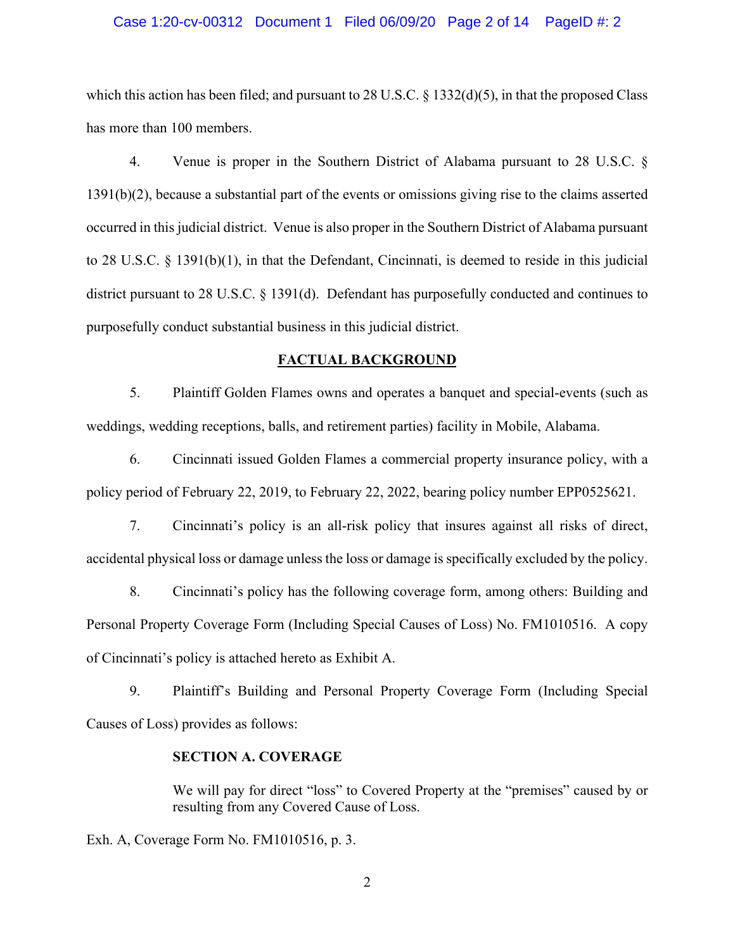#### Case 1:20-cv-00312 Document 1 Filed 06/09/20 Page 2 of 14 PageID #: 2

which this action has been filed; and pursuant to 28 U.S.C.  $\S$  1332(d)(5), in that the proposed Class has more than 100 members.

4. Venue is proper in the Southern District of Alabama pursuant to 28 U.S.C. § 1391(b)(2), because a substantial part of the events or omissions giving rise to the claims asserted occurred in this judicial district. Venue is also proper in the Southern District of Alabama pursuant to 28 U.S.C. § 1391(b)(1), in that the Defendant, Cincinnati, is deemed to reside in this judicial district pursuant to 28 U.S.C. § 1391(d). Defendant has purposefully conducted and continues to purposefully conduct substantial business in this judicial district.

#### **FACTUAL BACKGROUND**

5. Plaintiff Golden Flames owns and operates a banquet and special-events (such as weddings, wedding receptions, balls, and retirement parties) facility in Mobile, Alabama.

6. Cincinnati issued Golden Flames a commercial property insurance policy, with a policy period of February 22, 2019, to February 22, 2022, bearing policy number EPP0525621.

7. Cincinnati's policy is an all-risk policy that insures against all risks of direct, accidental physical loss or damage unless the loss or damage is specifically excluded by the policy.

8. Cincinnati's policy has the following coverage form, among others: Building and Personal Property Coverage Form (Including Special Causes of Loss) No. FM1010516. A copy of Cincinnati's policy is attached hereto as Exhibit A.

9. Plaintiff's Building and Personal Property Coverage Form (Including Special Causes of Loss) provides as follows:

## **SECTION A. COVERAGE**

We will pay for direct "loss" to Covered Property at the "premises" caused by or resulting from any Covered Cause of Loss.

Exh. A, Coverage Form No. FM1010516, p. 3.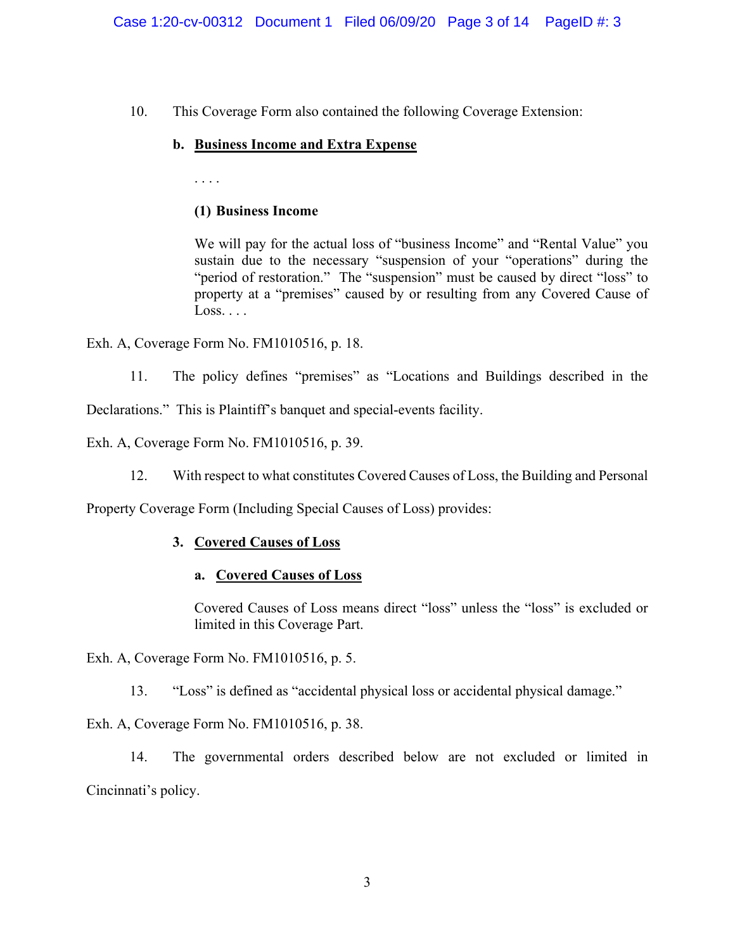10. This Coverage Form also contained the following Coverage Extension:

# **b. Business Income and Extra Expense**

. . . .

# **(1) Business Income**

We will pay for the actual loss of "business Income" and "Rental Value" you sustain due to the necessary "suspension of your "operations" during the "period of restoration." The "suspension" must be caused by direct "loss" to property at a "premises" caused by or resulting from any Covered Cause of  $Loss. \ldots$ 

Exh. A, Coverage Form No. FM1010516, p. 18.

11. The policy defines "premises" as "Locations and Buildings described in the Declarations." This is Plaintiff's banquet and special-events facility.

Exh. A, Coverage Form No. FM1010516, p. 39.

12. With respect to what constitutes Covered Causes of Loss, the Building and Personal

Property Coverage Form (Including Special Causes of Loss) provides:

# **3. Covered Causes of Loss**

# **a. Covered Causes of Loss**

Covered Causes of Loss means direct "loss" unless the "loss" is excluded or limited in this Coverage Part.

Exh. A, Coverage Form No. FM1010516, p. 5.

13. "Loss" is defined as "accidental physical loss or accidental physical damage."

Exh. A, Coverage Form No. FM1010516, p. 38.

14. The governmental orders described below are not excluded or limited in Cincinnati's policy.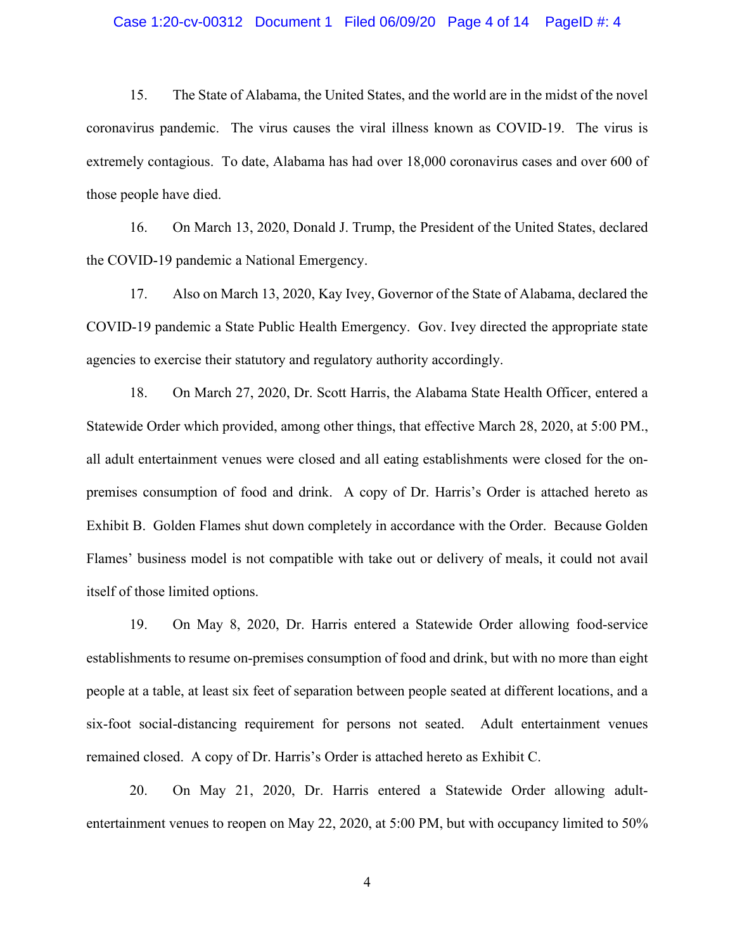#### Case 1:20-cv-00312 Document 1 Filed 06/09/20 Page 4 of 14 PageID #: 4

15. The State of Alabama, the United States, and the world are in the midst of the novel coronavirus pandemic. The virus causes the viral illness known as COVID-19. The virus is extremely contagious. To date, Alabama has had over 18,000 coronavirus cases and over 600 of those people have died.

16. On March 13, 2020, Donald J. Trump, the President of the United States, declared the COVID-19 pandemic a National Emergency.

17. Also on March 13, 2020, Kay Ivey, Governor of the State of Alabama, declared the COVID-19 pandemic a State Public Health Emergency. Gov. Ivey directed the appropriate state agencies to exercise their statutory and regulatory authority accordingly.

18. On March 27, 2020, Dr. Scott Harris, the Alabama State Health Officer, entered a Statewide Order which provided, among other things, that effective March 28, 2020, at 5:00 PM., all adult entertainment venues were closed and all eating establishments were closed for the onpremises consumption of food and drink. A copy of Dr. Harris's Order is attached hereto as Exhibit B. Golden Flames shut down completely in accordance with the Order. Because Golden Flames' business model is not compatible with take out or delivery of meals, it could not avail itself of those limited options.

19. On May 8, 2020, Dr. Harris entered a Statewide Order allowing food-service establishments to resume on-premises consumption of food and drink, but with no more than eight people at a table, at least six feet of separation between people seated at different locations, and a six-foot social-distancing requirement for persons not seated. Adult entertainment venues remained closed. A copy of Dr. Harris's Order is attached hereto as Exhibit C.

20. On May 21, 2020, Dr. Harris entered a Statewide Order allowing adultentertainment venues to reopen on May 22, 2020, at 5:00 PM, but with occupancy limited to 50%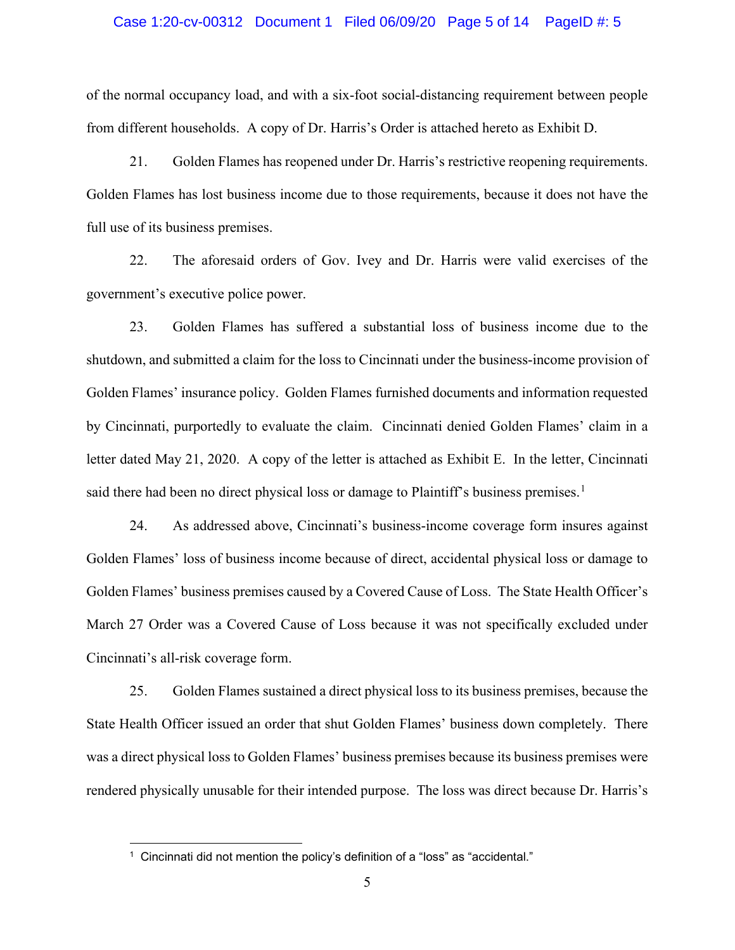#### Case 1:20-cv-00312 Document 1 Filed 06/09/20 Page 5 of 14 PageID #: 5

of the normal occupancy load, and with a six-foot social-distancing requirement between people from different households. A copy of Dr. Harris's Order is attached hereto as Exhibit D.

21. Golden Flames has reopened under Dr. Harris's restrictive reopening requirements. Golden Flames has lost business income due to those requirements, because it does not have the full use of its business premises.

22. The aforesaid orders of Gov. Ivey and Dr. Harris were valid exercises of the government's executive police power.

23. Golden Flames has suffered a substantial loss of business income due to the shutdown, and submitted a claim for the loss to Cincinnati under the business-income provision of Golden Flames' insurance policy. Golden Flames furnished documents and information requested by Cincinnati, purportedly to evaluate the claim. Cincinnati denied Golden Flames' claim in a letter dated May 21, 2020. A copy of the letter is attached as Exhibit E. In the letter, Cincinnati said there had been no direct physical loss or damage to Plaintiff's business premises.<sup>[1](#page-4-0)</sup>

24. As addressed above, Cincinnati's business-income coverage form insures against Golden Flames' loss of business income because of direct, accidental physical loss or damage to Golden Flames' business premises caused by a Covered Cause of Loss. The State Health Officer's March 27 Order was a Covered Cause of Loss because it was not specifically excluded under Cincinnati's all-risk coverage form.

25. Golden Flames sustained a direct physical loss to its business premises, because the State Health Officer issued an order that shut Golden Flames' business down completely. There was a direct physical loss to Golden Flames' business premises because its business premises were rendered physically unusable for their intended purpose. The loss was direct because Dr. Harris's

<span id="page-4-0"></span><sup>&</sup>lt;sup>1</sup> Cincinnati did not mention the policy's definition of a "loss" as "accidental."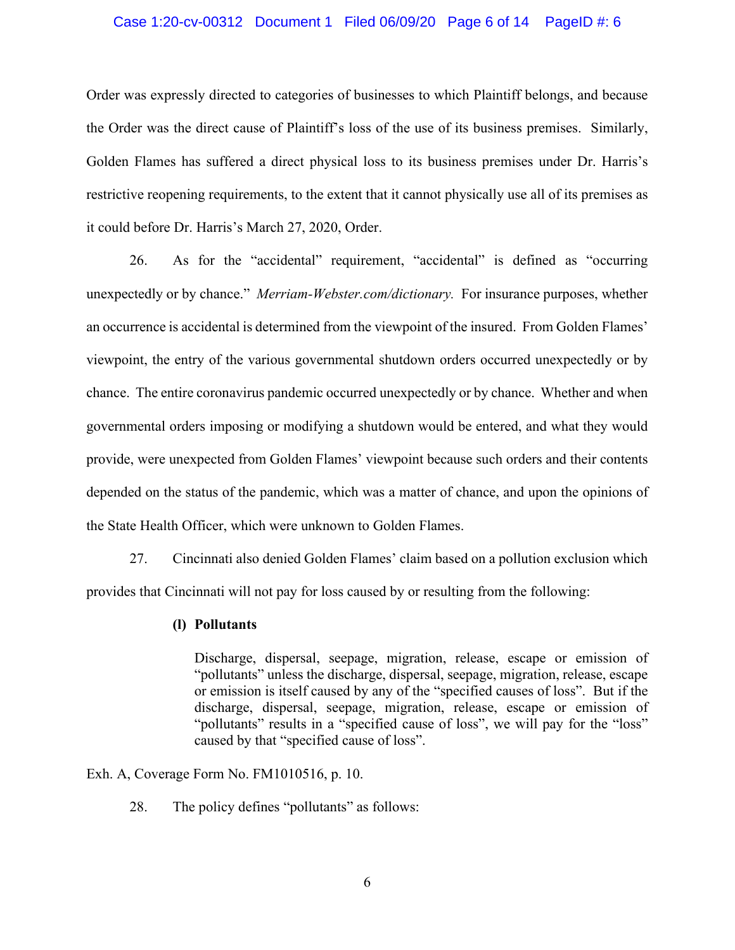#### Case 1:20-cv-00312 Document 1 Filed 06/09/20 Page 6 of 14 PageID #: 6

Order was expressly directed to categories of businesses to which Plaintiff belongs, and because the Order was the direct cause of Plaintiff's loss of the use of its business premises. Similarly, Golden Flames has suffered a direct physical loss to its business premises under Dr. Harris's restrictive reopening requirements, to the extent that it cannot physically use all of its premises as it could before Dr. Harris's March 27, 2020, Order.

26. As for the "accidental" requirement, "accidental" is defined as "occurring unexpectedly or by chance." *Merriam-Webster.com/dictionary.* For insurance purposes, whether an occurrence is accidental is determined from the viewpoint of the insured. From Golden Flames' viewpoint, the entry of the various governmental shutdown orders occurred unexpectedly or by chance. The entire coronavirus pandemic occurred unexpectedly or by chance. Whether and when governmental orders imposing or modifying a shutdown would be entered, and what they would provide, were unexpected from Golden Flames' viewpoint because such orders and their contents depended on the status of the pandemic, which was a matter of chance, and upon the opinions of the State Health Officer, which were unknown to Golden Flames.

27. Cincinnati also denied Golden Flames' claim based on a pollution exclusion which provides that Cincinnati will not pay for loss caused by or resulting from the following:

### **(l) Pollutants**

Discharge, dispersal, seepage, migration, release, escape or emission of "pollutants" unless the discharge, dispersal, seepage, migration, release, escape or emission is itself caused by any of the "specified causes of loss". But if the discharge, dispersal, seepage, migration, release, escape or emission of "pollutants" results in a "specified cause of loss", we will pay for the "loss" caused by that "specified cause of loss".

Exh. A, Coverage Form No. FM1010516, p. 10.

28. The policy defines "pollutants" as follows: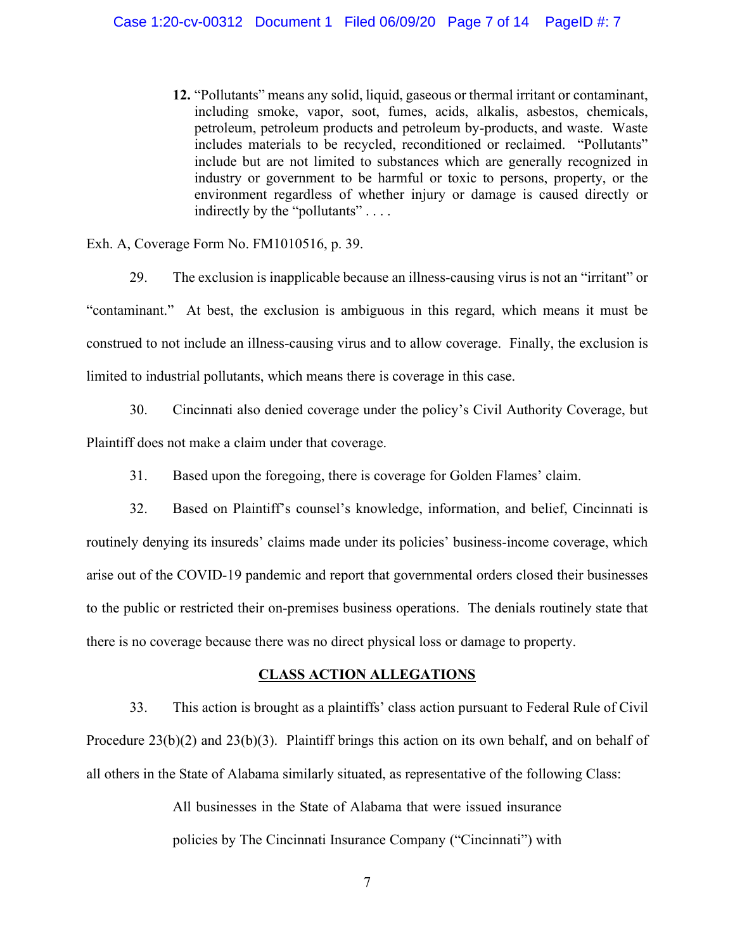**12.** "Pollutants" means any solid, liquid, gaseous or thermal irritant or contaminant, including smoke, vapor, soot, fumes, acids, alkalis, asbestos, chemicals, petroleum, petroleum products and petroleum by-products, and waste. Waste includes materials to be recycled, reconditioned or reclaimed. "Pollutants" include but are not limited to substances which are generally recognized in industry or government to be harmful or toxic to persons, property, or the environment regardless of whether injury or damage is caused directly or indirectly by the "pollutants" . . . .

Exh. A, Coverage Form No. FM1010516, p. 39.

29. The exclusion is inapplicable because an illness-causing virus is not an "irritant" or "contaminant." At best, the exclusion is ambiguous in this regard, which means it must be construed to not include an illness-causing virus and to allow coverage. Finally, the exclusion is limited to industrial pollutants, which means there is coverage in this case.

30. Cincinnati also denied coverage under the policy's Civil Authority Coverage, but Plaintiff does not make a claim under that coverage.

31. Based upon the foregoing, there is coverage for Golden Flames' claim.

32. Based on Plaintiff's counsel's knowledge, information, and belief, Cincinnati is routinely denying its insureds' claims made under its policies' business-income coverage, which arise out of the COVID-19 pandemic and report that governmental orders closed their businesses to the public or restricted their on-premises business operations. The denials routinely state that there is no coverage because there was no direct physical loss or damage to property.

## **CLASS ACTION ALLEGATIONS**

33. This action is brought as a plaintiffs' class action pursuant to Federal Rule of Civil Procedure  $23(b)(2)$  and  $23(b)(3)$ . Plaintiff brings this action on its own behalf, and on behalf of all others in the State of Alabama similarly situated, as representative of the following Class:

> All businesses in the State of Alabama that were issued insurance policies by The Cincinnati Insurance Company ("Cincinnati") with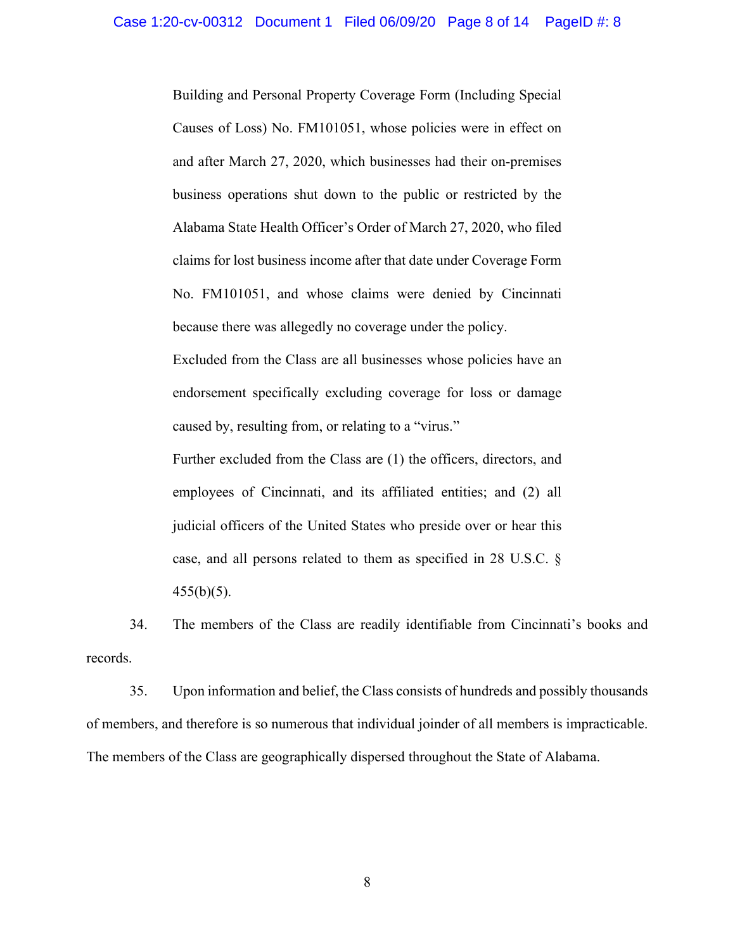Building and Personal Property Coverage Form (Including Special Causes of Loss) No. FM101051, whose policies were in effect on and after March 27, 2020, which businesses had their on-premises business operations shut down to the public or restricted by the Alabama State Health Officer's Order of March 27, 2020, who filed claims for lost business income after that date under Coverage Form No. FM101051, and whose claims were denied by Cincinnati because there was allegedly no coverage under the policy.

Excluded from the Class are all businesses whose policies have an endorsement specifically excluding coverage for loss or damage caused by, resulting from, or relating to a "virus."

Further excluded from the Class are (1) the officers, directors, and employees of Cincinnati, and its affiliated entities; and (2) all judicial officers of the United States who preside over or hear this case, and all persons related to them as specified in 28 U.S.C. §  $455(b)(5)$ .

34. The members of the Class are readily identifiable from Cincinnati's books and records.

35. Upon information and belief, the Class consists of hundreds and possibly thousands of members, and therefore is so numerous that individual joinder of all members is impracticable. The members of the Class are geographically dispersed throughout the State of Alabama.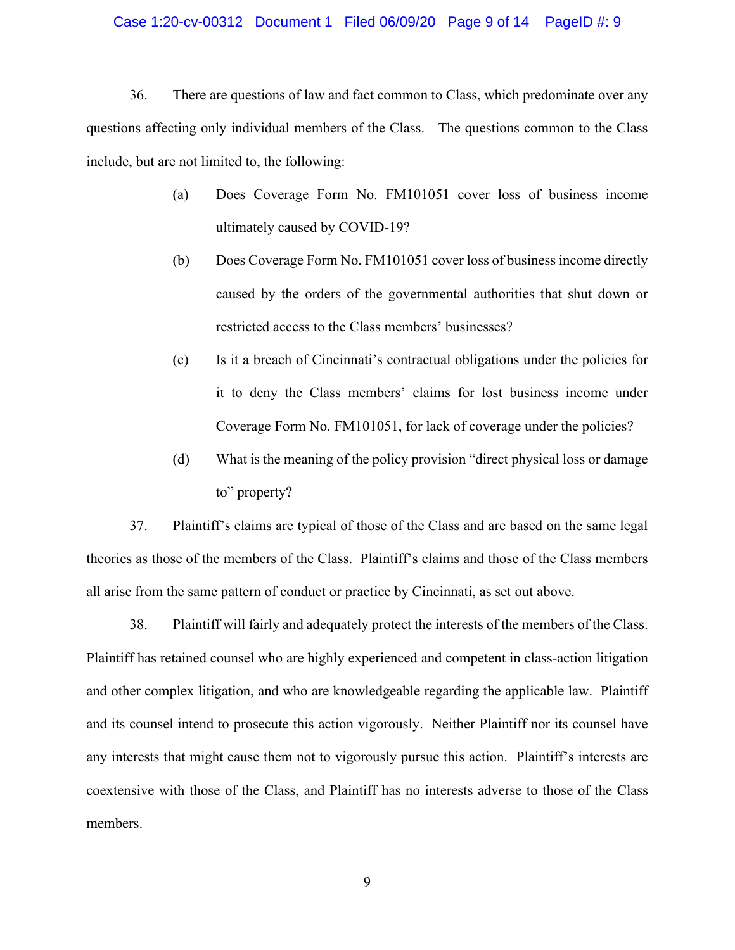## Case 1:20-cv-00312 Document 1 Filed 06/09/20 Page 9 of 14 PageID #: 9

36. There are questions of law and fact common to Class, which predominate over any questions affecting only individual members of the Class. The questions common to the Class include, but are not limited to, the following:

- (a) Does Coverage Form No. FM101051 cover loss of business income ultimately caused by COVID-19?
- (b) Does Coverage Form No. FM101051 cover loss of business income directly caused by the orders of the governmental authorities that shut down or restricted access to the Class members' businesses?
- (c) Is it a breach of Cincinnati's contractual obligations under the policies for it to deny the Class members' claims for lost business income under Coverage Form No. FM101051, for lack of coverage under the policies?
- (d) What is the meaning of the policy provision "direct physical loss or damage to" property?

37. Plaintiff's claims are typical of those of the Class and are based on the same legal theories as those of the members of the Class. Plaintiff's claims and those of the Class members all arise from the same pattern of conduct or practice by Cincinnati, as set out above.

38. Plaintiff will fairly and adequately protect the interests of the members of the Class. Plaintiff has retained counsel who are highly experienced and competent in class-action litigation and other complex litigation, and who are knowledgeable regarding the applicable law. Plaintiff and its counsel intend to prosecute this action vigorously. Neither Plaintiff nor its counsel have any interests that might cause them not to vigorously pursue this action. Plaintiff's interests are coextensive with those of the Class, and Plaintiff has no interests adverse to those of the Class members.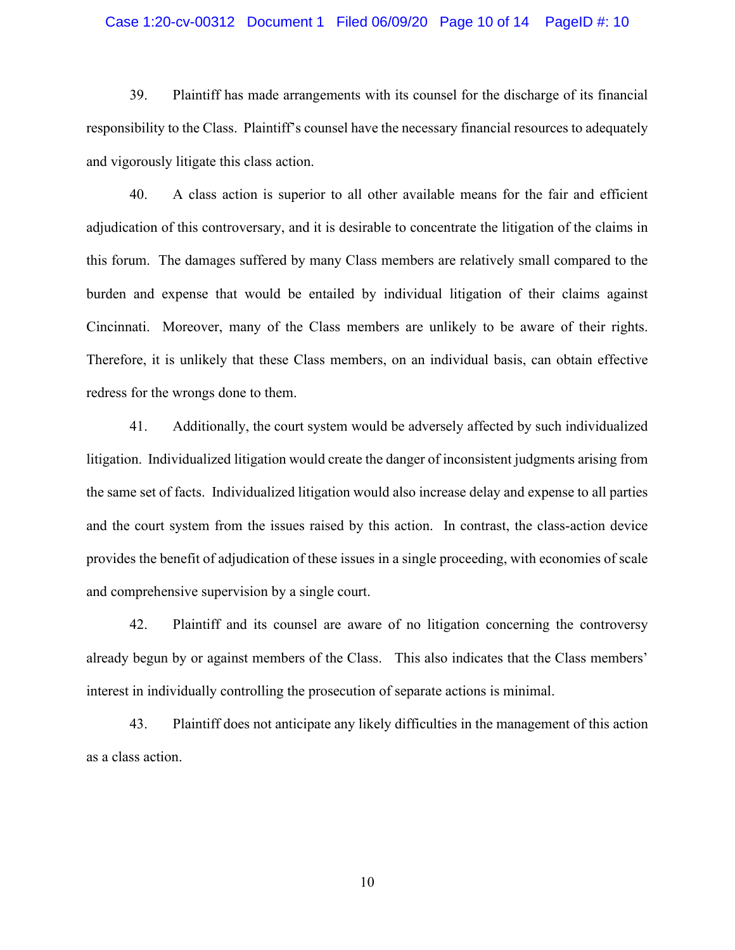#### Case 1:20-cv-00312 Document 1 Filed 06/09/20 Page 10 of 14 PageID #: 10

39. Plaintiff has made arrangements with its counsel for the discharge of its financial responsibility to the Class. Plaintiff's counsel have the necessary financial resources to adequately and vigorously litigate this class action.

40. A class action is superior to all other available means for the fair and efficient adjudication of this controversary, and it is desirable to concentrate the litigation of the claims in this forum. The damages suffered by many Class members are relatively small compared to the burden and expense that would be entailed by individual litigation of their claims against Cincinnati. Moreover, many of the Class members are unlikely to be aware of their rights. Therefore, it is unlikely that these Class members, on an individual basis, can obtain effective redress for the wrongs done to them.

41. Additionally, the court system would be adversely affected by such individualized litigation. Individualized litigation would create the danger of inconsistent judgments arising from the same set of facts. Individualized litigation would also increase delay and expense to all parties and the court system from the issues raised by this action. In contrast, the class-action device provides the benefit of adjudication of these issues in a single proceeding, with economies of scale and comprehensive supervision by a single court.

42. Plaintiff and its counsel are aware of no litigation concerning the controversy already begun by or against members of the Class. This also indicates that the Class members' interest in individually controlling the prosecution of separate actions is minimal.

43. Plaintiff does not anticipate any likely difficulties in the management of this action as a class action.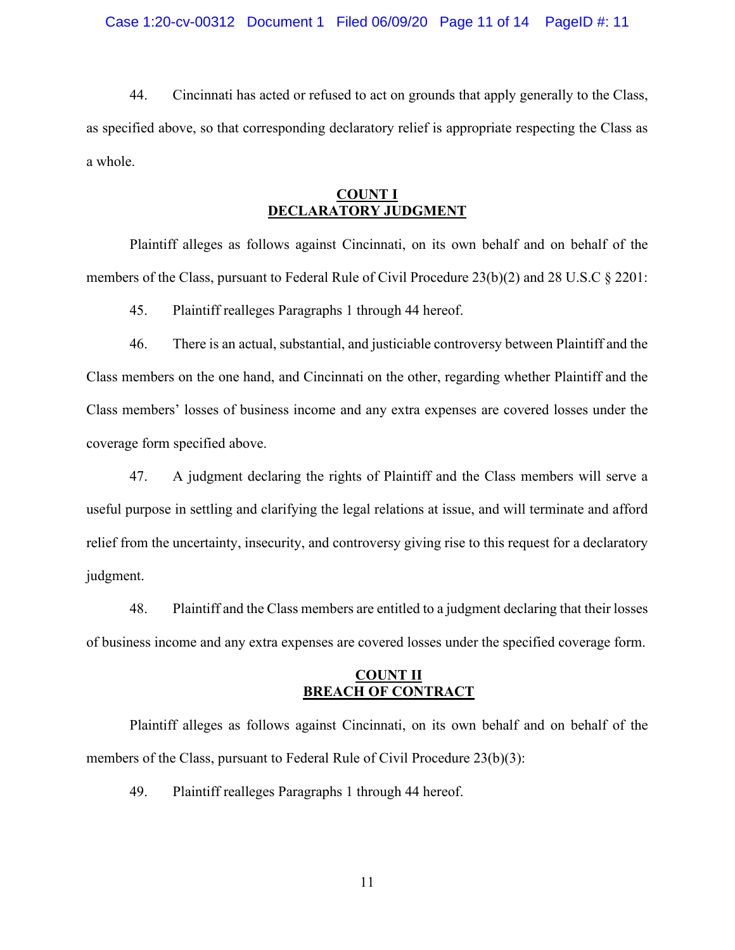## Case 1:20-cv-00312 Document 1 Filed 06/09/20 Page 11 of 14 PageID #: 11

44. Cincinnati has acted or refused to act on grounds that apply generally to the Class, as specified above, so that corresponding declaratory relief is appropriate respecting the Class as a whole.

# **COUNT I DECLARATORY JUDGMENT**

Plaintiff alleges as follows against Cincinnati, on its own behalf and on behalf of the members of the Class, pursuant to Federal Rule of Civil Procedure 23(b)(2) and 28 U.S.C § 2201:

45. Plaintiff realleges Paragraphs 1 through 44 hereof.

46. There is an actual, substantial, and justiciable controversy between Plaintiff and the Class members on the one hand, and Cincinnati on the other, regarding whether Plaintiff and the Class members' losses of business income and any extra expenses are covered losses under the coverage form specified above.

47. A judgment declaring the rights of Plaintiff and the Class members will serve a useful purpose in settling and clarifying the legal relations at issue, and will terminate and afford relief from the uncertainty, insecurity, and controversy giving rise to this request for a declaratory judgment.

48. Plaintiff and the Class members are entitled to a judgment declaring that their losses of business income and any extra expenses are covered losses under the specified coverage form.

## **COUNT II BREACH OF CONTRACT**

Plaintiff alleges as follows against Cincinnati, on its own behalf and on behalf of the members of the Class, pursuant to Federal Rule of Civil Procedure 23(b)(3):

49. Plaintiff realleges Paragraphs 1 through 44 hereof.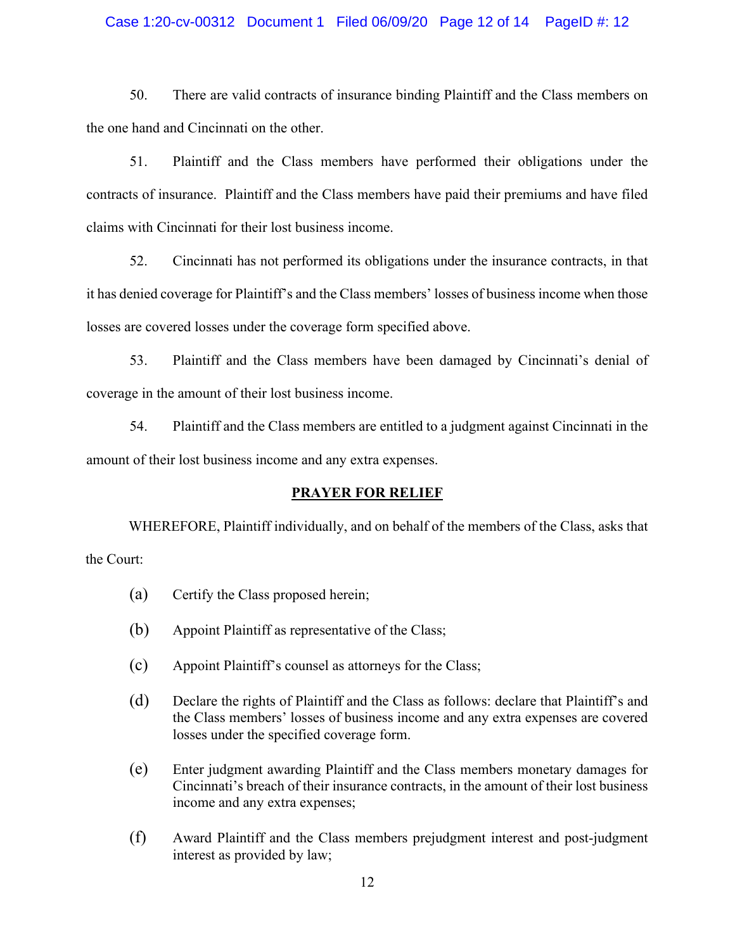## Case 1:20-cv-00312 Document 1 Filed 06/09/20 Page 12 of 14 PageID #: 12

50. There are valid contracts of insurance binding Plaintiff and the Class members on the one hand and Cincinnati on the other.

51. Plaintiff and the Class members have performed their obligations under the contracts of insurance. Plaintiff and the Class members have paid their premiums and have filed claims with Cincinnati for their lost business income.

52. Cincinnati has not performed its obligations under the insurance contracts, in that it has denied coverage for Plaintiff's and the Class members' losses of business income when those losses are covered losses under the coverage form specified above.

53. Plaintiff and the Class members have been damaged by Cincinnati's denial of coverage in the amount of their lost business income.

54. Plaintiff and the Class members are entitled to a judgment against Cincinnati in the amount of their lost business income and any extra expenses.

## **PRAYER FOR RELIEF**

WHEREFORE, Plaintiff individually, and on behalf of the members of the Class, asks that the Court:

- (a) Certify the Class proposed herein;
- (b) Appoint Plaintiff as representative of the Class;
- (c) Appoint Plaintiff's counsel as attorneys for the Class;
- (d) Declare the rights of Plaintiff and the Class as follows: declare that Plaintiff's and the Class members' losses of business income and any extra expenses are covered losses under the specified coverage form.
- (e) Enter judgment awarding Plaintiff and the Class members monetary damages for Cincinnati's breach of their insurance contracts, in the amount of their lost business income and any extra expenses;
- (f) Award Plaintiff and the Class members prejudgment interest and post-judgment interest as provided by law;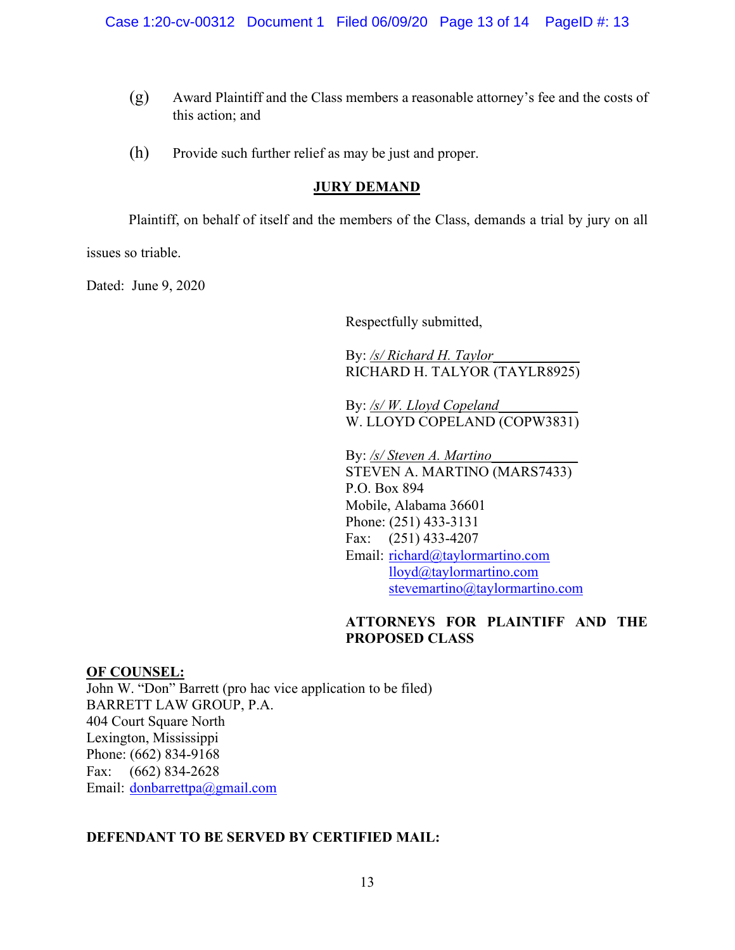- (g) Award Plaintiff and the Class members a reasonable attorney's fee and the costs of this action; and
- (h) Provide such further relief as may be just and proper.

# **JURY DEMAND**

Plaintiff, on behalf of itself and the members of the Class, demands a trial by jury on all

issues so triable.

Dated: June 9, 2020

Respectfully submitted,

By: */s/ Richard H. Taylor*\_\_\_\_\_\_\_\_\_\_\_\_ RICHARD H. TALYOR (TAYLR8925)

By: */s/W. Lloyd Copeland* W. LLOYD COPELAND (COPW3831)

By: /s/ Steven A. Martino STEVEN A. MARTINO (MARS7433) P.O. Box 894 Mobile, Alabama 36601 Phone: (251) 433-3131 Fax: (251) 433-4207 Email: [richard@taylormartino.com](mailto:richard@taylormartino.com) [lloyd@taylormartino.com](mailto:lloyd@taylormartino.com) [stevemartino@taylormartino.com](mailto:stevemartino@taylormartino.com)

# **ATTORNEYS FOR PLAINTIFF AND THE PROPOSED CLASS**

**OF COUNSEL:** John W. "Don" Barrett (pro hac vice application to be filed) BARRETT LAW GROUP, P.A. 404 Court Square North Lexington, Mississippi Phone: (662) 834-9168 Fax: (662) 834-2628 Email: [donbarrettpa@gmail.com](mailto:donbarrettpa@gmail.com)

# **DEFENDANT TO BE SERVED BY CERTIFIED MAIL:**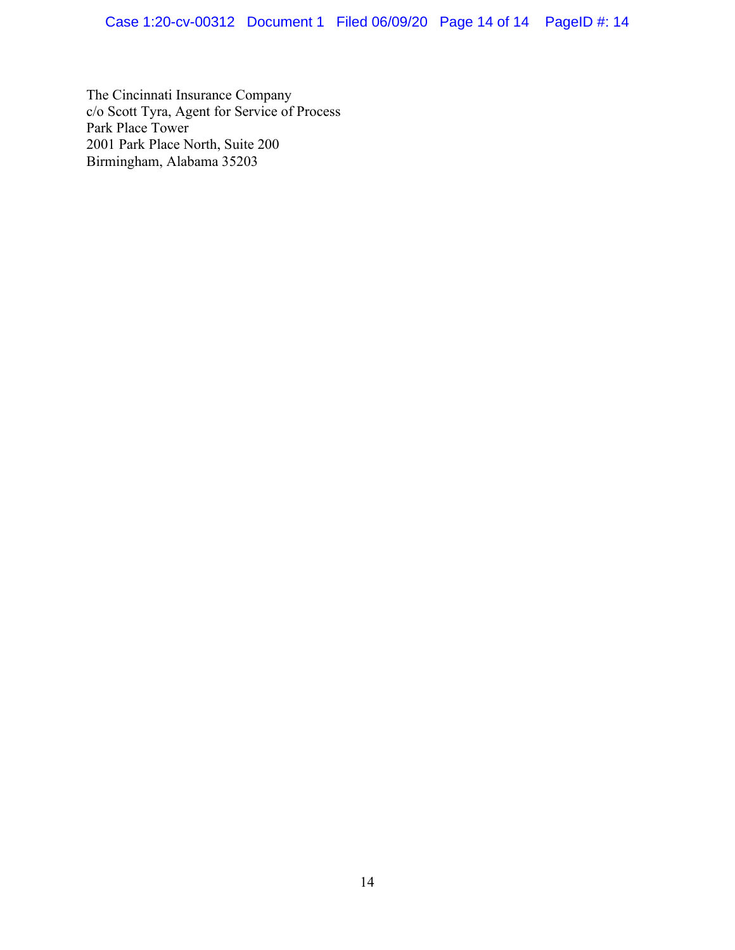The Cincinnati Insurance Company c/o Scott Tyra, Agent for Service of Process Park Place Tower 2001 Park Place North, Suite 200 Birmingham, Alabama 35203